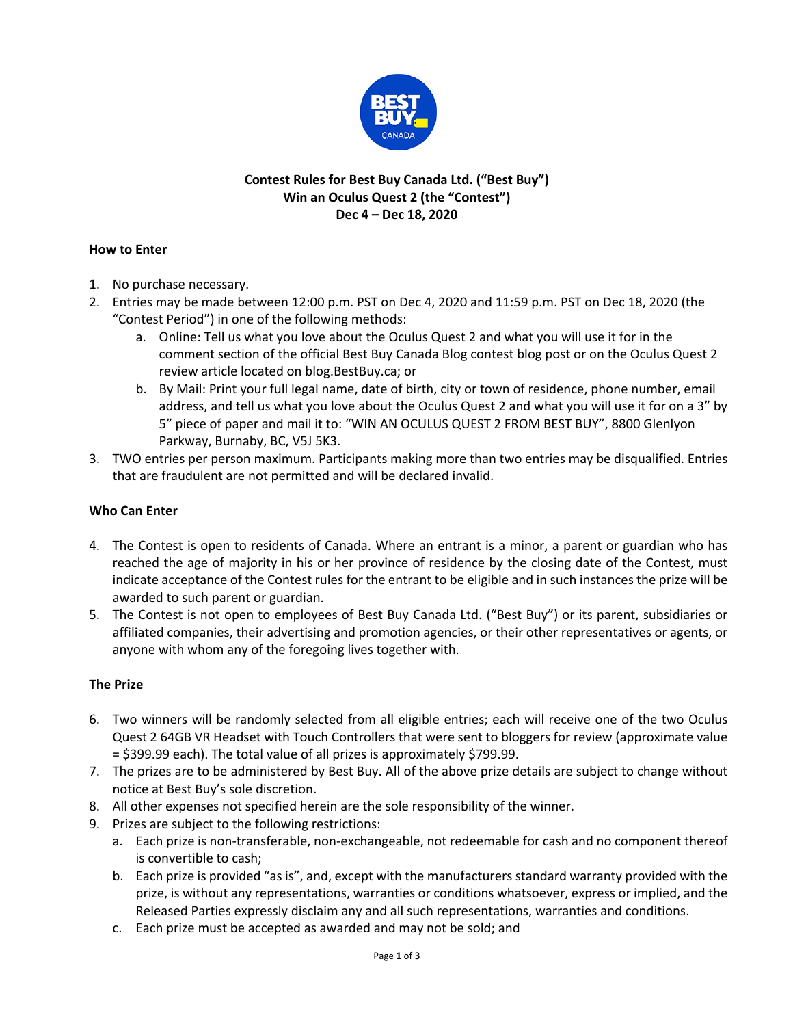

# **Contest Rules for Best Buy Canada Ltd. ("Best Buy") Win an Oculus Quest 2 (the "Contest") Dec 4 – Dec 18, 2020**

## **How to Enter**

- 1. No purchase necessary.
- 2. Entries may be made between 12:00 p.m. PST on Dec 4, 2020 and 11:59 p.m. PST on Dec 18, 2020 (the "Contest Period") in one of the following methods:
	- a. Online: Tell us what you love about the Oculus Quest 2 and what you will use it for in the comment section of the official Best Buy Canada Blog contest blog post or on the Oculus Quest 2 review article located on blog.BestBuy.ca; or
	- b. By Mail: Print your full legal name, date of birth, city or town of residence, phone number, email address, and tell us what you love about the Oculus Quest 2 and what you will use it for on a 3" by 5" piece of paper and mail it to: "WIN AN OCULUS QUEST 2 FROM BEST BUY", 8800 Glenlyon Parkway, Burnaby, BC, V5J 5K3.
- 3. TWO entries per person maximum. Participants making more than two entries may be disqualified. Entries that are fraudulent are not permitted and will be declared invalid.

### **Who Can Enter**

- 4. The Contest is open to residents of Canada. Where an entrant is a minor, a parent or guardian who has reached the age of majority in his or her province of residence by the closing date of the Contest, must indicate acceptance of the Contest rules for the entrant to be eligible and in such instances the prize will be awarded to such parent or guardian.
- 5. The Contest is not open to employees of Best Buy Canada Ltd. ("Best Buy") or its parent, subsidiaries or affiliated companies, their advertising and promotion agencies, or their other representatives or agents, or anyone with whom any of the foregoing lives together with.

### **The Prize**

- 6. Two winners will be randomly selected from all eligible entries; each will receive one of the two Oculus Quest 2 64GB VR Headset with Touch Controllers that were sent to bloggers for review (approximate value = \$399.99 each). The total value of all prizes is approximately \$799.99.
- 7. The prizes are to be administered by Best Buy. All of the above prize details are subject to change without notice at Best Buy's sole discretion.
- 8. All other expenses not specified herein are the sole responsibility of the winner.
- 9. Prizes are subject to the following restrictions:
	- a. Each prize is non-transferable, non-exchangeable, not redeemable for cash and no component thereof is convertible to cash;
	- b. Each prize is provided "as is", and, except with the manufacturers standard warranty provided with the prize, is without any representations, warranties or conditions whatsoever, express or implied, and the Released Parties expressly disclaim any and all such representations, warranties and conditions.
	- c. Each prize must be accepted as awarded and may not be sold; and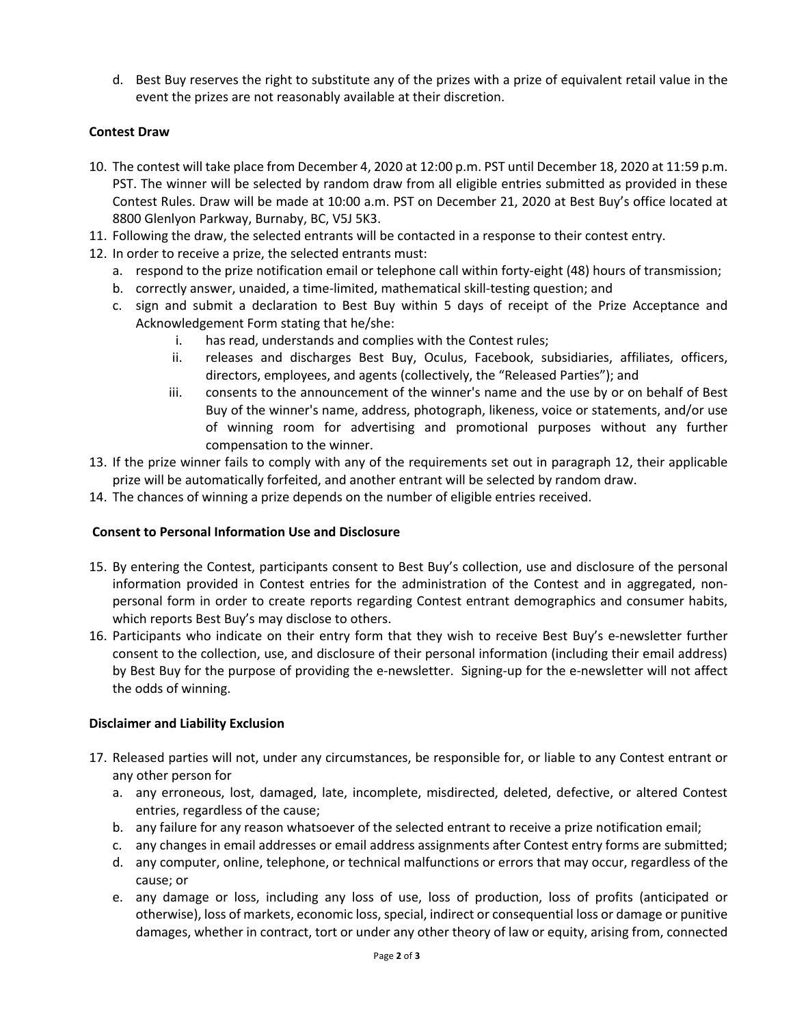d. Best Buy reserves the right to substitute any of the prizes with a prize of equivalent retail value in the event the prizes are not reasonably available at their discretion.

### **Contest Draw**

- 10. The contest will take place from December 4, 2020 at 12:00 p.m. PST until December 18, 2020 at 11:59 p.m. PST. The winner will be selected by random draw from all eligible entries submitted as provided in these Contest Rules. Draw will be made at 10:00 a.m. PST on December 21, 2020 at Best Buy's office located at 8800 Glenlyon Parkway, Burnaby, BC, V5J 5K3.
- 11. Following the draw, the selected entrants will be contacted in a response to their contest entry.
- 12. In order to receive a prize, the selected entrants must:
	- a. respond to the prize notification email or telephone call within forty-eight (48) hours of transmission;
	- b. correctly answer, unaided, a time-limited, mathematical skill-testing question; and
	- c. sign and submit a declaration to Best Buy within 5 days of receipt of the Prize Acceptance and Acknowledgement Form stating that he/she:
		- i. has read, understands and complies with the Contest rules;
		- ii. releases and discharges Best Buy, Oculus, Facebook, subsidiaries, affiliates, officers, directors, employees, and agents (collectively, the "Released Parties"); and
		- iii. consents to the announcement of the winner's name and the use by or on behalf of Best Buy of the winner's name, address, photograph, likeness, voice or statements, and/or use of winning room for advertising and promotional purposes without any further compensation to the winner.
- 13. If the prize winner fails to comply with any of the requirements set out in paragraph 12, their applicable prize will be automatically forfeited, and another entrant will be selected by random draw.
- 14. The chances of winning a prize depends on the number of eligible entries received.

### **Consent to Personal Information Use and Disclosure**

- 15. By entering the Contest, participants consent to Best Buy's collection, use and disclosure of the personal information provided in Contest entries for the administration of the Contest and in aggregated, nonpersonal form in order to create reports regarding Contest entrant demographics and consumer habits, which reports Best Buy's may disclose to others.
- 16. Participants who indicate on their entry form that they wish to receive Best Buy's e-newsletter further consent to the collection, use, and disclosure of their personal information (including their email address) by Best Buy for the purpose of providing the e-newsletter. Signing-up for the e-newsletter will not affect the odds of winning.

### **Disclaimer and Liability Exclusion**

- 17. Released parties will not, under any circumstances, be responsible for, or liable to any Contest entrant or any other person for
	- a. any erroneous, lost, damaged, late, incomplete, misdirected, deleted, defective, or altered Contest entries, regardless of the cause;
	- b. any failure for any reason whatsoever of the selected entrant to receive a prize notification email;
	- c. any changes in email addresses or email address assignments after Contest entry forms are submitted;
	- d. any computer, online, telephone, or technical malfunctions or errors that may occur, regardless of the cause; or
	- e. any damage or loss, including any loss of use, loss of production, loss of profits (anticipated or otherwise), loss of markets, economic loss, special, indirect or consequential loss or damage or punitive damages, whether in contract, tort or under any other theory of law or equity, arising from, connected